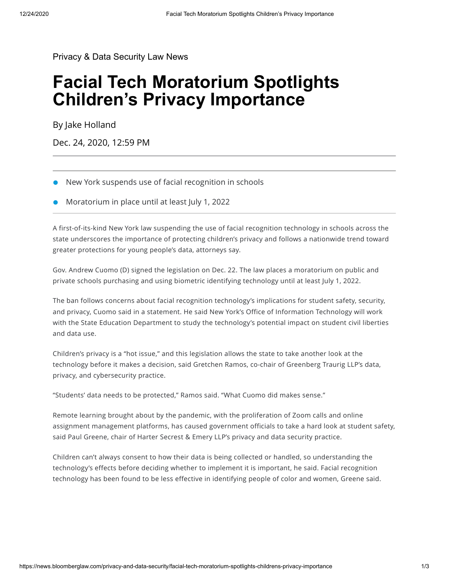[Privacy & Data Security Law News](https://news.bloomberglaw.com/privacy-and-data-security/)

## **Facial Tech Moratorium Spotlights Children's Privacy Importance**

By [Jake Holland](mailto:jholland@bloombergindustry.com)

Dec. 24, 2020, 12:59 PM

- New York suspends use of facial recognition in schools
- Moratorium in place until at least July 1, 2022

A first-of-its-kind New York law suspending the use of facial recognition technology in schools across the state underscores the importance of protecting children's privacy and follows a nationwide trend toward greater protections for young people's data, attorneys say.

Gov. Andrew Cuomo (D) signed the legislation on Dec. 22. The law places a moratorium on public and private schools purchasing and using biometric identifying technology until at least July 1, 2022.

The ban follows concerns about facial recognition technology's implications for student safety, security, and privacy, Cuomo said in a statement. He said New York's Office of Information Technology will work with the State Education Department to study the technology's potential impact on student civil liberties and data use.

Children's privacy is a "hot issue," and this legislation allows the state to take another look at the technology before it makes a decision, said Gretchen Ramos, co-chair of Greenberg Traurig LLP's data, privacy, and cybersecurity practice.

"Students' data needs to be protected," Ramos said. "What Cuomo did makes sense."

Remote learning brought about by the pandemic, with the proliferation of Zoom calls and online assignment management platforms, has caused government officials to take a hard look at student safety, said Paul Greene, chair of Harter Secrest & Emery LLP's privacy and data security practice.

Children can't always consent to how their data is being collected or handled, so understanding the technology's effects before deciding whether to implement it is important, he said. Facial recognition technology has been found to be less effective in identifying people of color and women, Greene said.